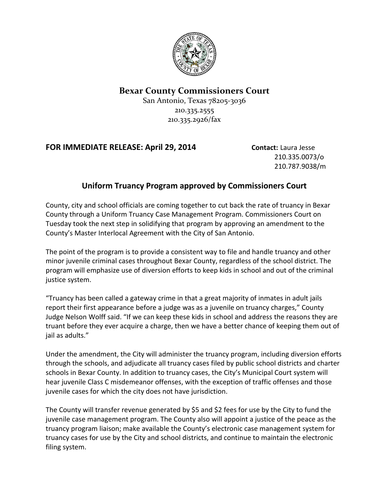

## **Bexar County Commissioners Court**

San Antonio, Texas 78205-3036 210.335.2555 210.335.2926/fax

## **FOR IMMEDIATE RELEASE: April 29, 2014 Contact:** Laura Jesse

210.335.0073/o 210.787.9038/m

## **Uniform Truancy Program approved by Commissioners Court**

County, city and school officials are coming together to cut back the rate of truancy in Bexar County through a Uniform Truancy Case Management Program. Commissioners Court on Tuesday took the next step in solidifying that program by approving an amendment to the County's Master Interlocal Agreement with the City of San Antonio.

The point of the program is to provide a consistent way to file and handle truancy and other minor juvenile criminal cases throughout Bexar County, regardless of the school district. The program will emphasize use of diversion efforts to keep kids in school and out of the criminal justice system.

"Truancy has been called a gateway crime in that a great majority of inmates in adult jails report their first appearance before a judge was as a juvenile on truancy charges," County Judge Nelson Wolff said. "If we can keep these kids in school and address the reasons they are truant before they ever acquire a charge, then we have a better chance of keeping them out of iail as adults."

Under the amendment, the City will administer the truancy program, including diversion efforts through the schools, and adjudicate all truancy cases filed by public school districts and charter schools in Bexar County. In addition to truancy cases, the City's Municipal Court system will hear juvenile Class C misdemeanor offenses, with the exception of traffic offenses and those juvenile cases for which the city does not have jurisdiction.

The County will transfer revenue generated by \$5 and \$2 fees for use by the City to fund the juvenile case management program. The County also will appoint a justice of the peace as the truancy program liaison; make available the County's electronic case management system for truancy cases for use by the City and school districts, and continue to maintain the electronic filing system.